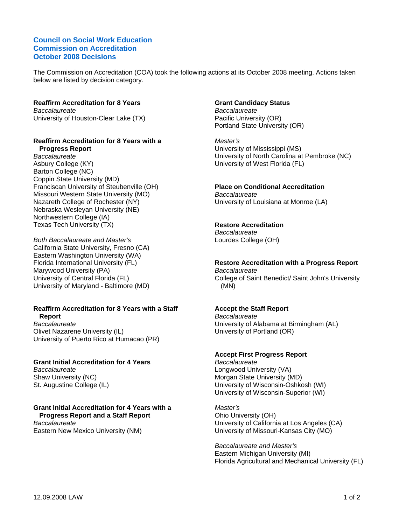#### **Council on Social Work Education Commission on Accreditation October 2008 Decisions**

The Commission on Accreditation (COA) took the following actions at its October 2008 meeting. Actions taken below are listed by decision category.

**Reaffirm Accreditation for 8 Years**  *Baccalaureate*  University of Houston-Clear Lake (TX)

### **Reaffirm Accreditation for 8 Years with a Progress Report**

*Baccalaureate*  Asbury College (KY) Barton College (NC) Coppin State University (MD) Franciscan University of Steubenville (OH) Missouri Western State University (MO) Nazareth College of Rochester (NY) Nebraska Wesleyan University (NE) Northwestern College (IA) Texas Tech University (TX)

*Both Baccalaureate and Master's*  California State University, Fresno (CA) Eastern Washington University (WA) Florida International University (FL) Marywood University (PA) University of Central Florida (FL) University of Maryland - Baltimore (MD)

#### **Reaffirm Accreditation for 8 Years with a Staff Report**

*Baccalaureate*  Olivet Nazarene University (IL) University of Puerto Rico at Humacao (PR)

#### **Grant Initial Accreditation for 4 Years**  *Baccalaureate*

Shaw University (NC) St. Augustine College (IL)

#### **Grant Initial Accreditation for 4 Years with a Progress Report and a Staff Report**  *Baccalaureate*

Eastern New Mexico University (NM)

### **Grant Candidacy Status**

*Baccalaureate*  Pacific University (OR) Portland State University (OR)

*Master's*  University of Mississippi (MS) University of North Carolina at Pembroke (NC) University of West Florida (FL)

## **Place on Conditional Accreditation**

*Baccalaureate*  University of Louisiana at Monroe (LA)

#### **Restore Accreditation**

*Baccalaureate*  Lourdes College (OH)

#### **Restore Accreditation with a Progress Report**  *Baccalaureate*

College of Saint Benedict/ Saint John's University (MN)

### **Accept the Staff Report**

*Baccalaureate*  University of Alabama at Birmingham (AL) University of Portland (OR)

#### **Accept First Progress Report**

*Baccalaureate*  Longwood University (VA) Morgan State University (MD) University of Wisconsin-Oshkosh (WI) University of Wisconsin-Superior (WI)

*Master's*  Ohio University (OH) University of California at Los Angeles (CA) University of Missouri-Kansas City (MO)

*Baccalaureate and Master's*  Eastern Michigan University (MI) Florida Agricultural and Mechanical University (FL)